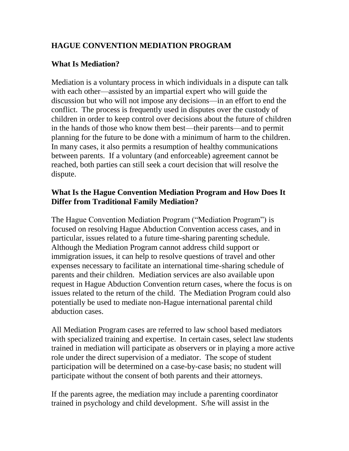# **HAGUE CONVENTION MEDIATION PROGRAM**

#### **What Is Mediation?**

Mediation is a voluntary process in which individuals in a dispute can talk with each other—assisted by an impartial expert who will guide the discussion but who will not impose any decisions—in an effort to end the conflict. The process is frequently used in disputes over the custody of children in order to keep control over decisions about the future of children in the hands of those who know them best—their parents—and to permit planning for the future to be done with a minimum of harm to the children. In many cases, it also permits a resumption of healthy communications between parents. If a voluntary (and enforceable) agreement cannot be reached, both parties can still seek a court decision that will resolve the dispute.

#### **What Is the Hague Convention Mediation Program and How Does It Differ from Traditional Family Mediation?**

The Hague Convention Mediation Program ("Mediation Program") is focused on resolving Hague Abduction Convention access cases, and in particular, issues related to a future time-sharing parenting schedule. Although the Mediation Program cannot address child support or immigration issues, it can help to resolve questions of travel and other expenses necessary to facilitate an international time-sharing schedule of parents and their children. Mediation services are also available upon request in Hague Abduction Convention return cases, where the focus is on issues related to the return of the child. The Mediation Program could also potentially be used to mediate non-Hague international parental child abduction cases.

All Mediation Program cases are referred to law school based mediators with specialized training and expertise. In certain cases, select law students trained in mediation will participate as observers or in playing a more active role under the direct supervision of a mediator. The scope of student participation will be determined on a case-by-case basis; no student will participate without the consent of both parents and their attorneys.

If the parents agree, the mediation may include a parenting coordinator trained in psychology and child development. S/he will assist in the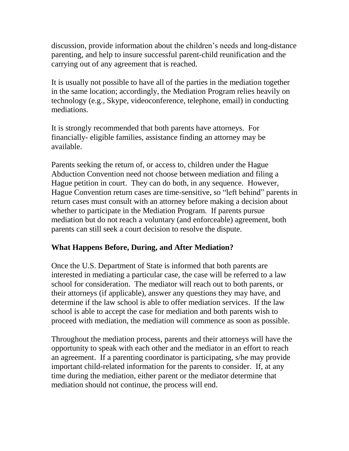discussion, provide information about the children's needs and long-distance parenting, and help to insure successful parent-child reunification and the carrying out of any agreement that is reached.

It is usually not possible to have all of the parties in the mediation together in the same location; accordingly, the Mediation Program relies heavily on technology (e.g., Skype, videoconference, telephone, email) in conducting mediations.

It is strongly recommended that both parents have attorneys. For financially- eligible families, assistance finding an attorney may be available.

Parents seeking the return of, or access to, children under the Hague Abduction Convention need not choose between mediation and filing a Hague petition in court. They can do both, in any sequence. However, Hague Convention return cases are time-sensitive, so "left behind" parents in return cases must consult with an attorney before making a decision about whether to participate in the Mediation Program. If parents pursue mediation but do not reach a voluntary (and enforceable) agreement, both parents can still seek a court decision to resolve the dispute.

### **What Happens Before, During, and After Mediation?**

Once the U.S. Department of State is informed that both parents are interested in mediating a particular case, the case will be referred to a law school for consideration. The mediator will reach out to both parents, or their attorneys (if applicable), answer any questions they may have, and determine if the law school is able to offer mediation services. If the law school is able to accept the case for mediation and both parents wish to proceed with mediation, the mediation will commence as soon as possible.

Throughout the mediation process, parents and their attorneys will have the opportunity to speak with each other and the mediator in an effort to reach an agreement. If a parenting coordinator is participating, s/he may provide important child-related information for the parents to consider. If, at any time during the mediation, either parent or the mediator determine that mediation should not continue, the process will end.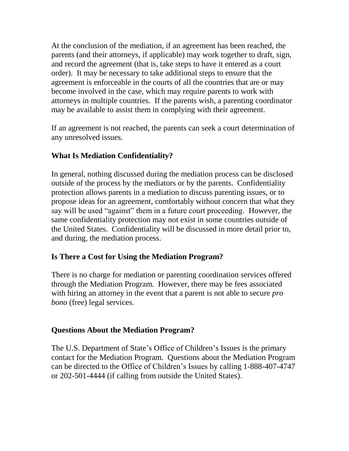At the conclusion of the mediation, if an agreement has been reached, the parents (and their attorneys, if applicable) may work together to draft, sign, and record the agreement (that is, take steps to have it entered as a court order). It may be necessary to take additional steps to ensure that the agreement is enforceable in the courts of all the countries that are or may become involved in the case, which may require parents to work with attorneys in multiple countries. If the parents wish, a parenting coordinator may be available to assist them in complying with their agreement.

If an agreement is not reached, the parents can seek a court determination of any unresolved issues.

# **What Is Mediation Confidentiality?**

In general, nothing discussed during the mediation process can be disclosed outside of the process by the mediators or by the parents. Confidentiality protection allows parents in a mediation to discuss parenting issues, or to propose ideas for an agreement, comfortably without concern that what they say will be used "against" them in a future court proceeding. However, the same confidentiality protection may not exist in some countries outside of the United States. Confidentiality will be discussed in more detail prior to, and during, the mediation process.

### **Is There a Cost for Using the Mediation Program?**

There is no charge for mediation or parenting coordination services offered through the Mediation Program. However, there may be fees associated with hiring an attorney in the event that a parent is not able to secure *pro bono* (free) legal services.

# **Questions About the Mediation Program?**

The U.S. Department of State's Office of Children's Issues is the primary contact for the Mediation Program. Questions about the Mediation Program can be directed to the Office of Children's Issues by calling 1-888-407-4747 or 202-501-4444 (if calling from outside the United States).